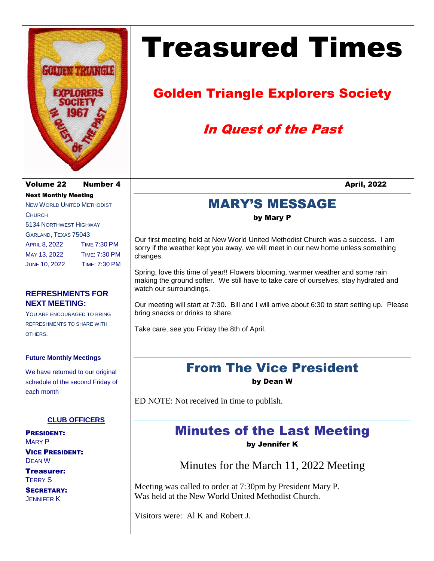

Next Monthly Meeting NEW WORLD UNITED METHODIST

5134 NORTHWEST HIGHWAY GARLAND, TEXAS 75043

APRIL 8, 2022 TIME 7:30 PM MAY 13, 2022 TIME: 7:30 PM JUNE 10, 2022 TIME: 7:30 PM

**REFRESHMENTS FOR**

YOU ARE ENCOURAGED TO BRING REFRESHMENTS TO SHARE WITH

**NEXT MEETING:** 

**CHURCH** 

OTHERS.

# Treasured Times

## Golden Triangle Explorers Society

### In Quest of the Past

#### MARY'S MESSAGE

#### by Mary P

Our first meeting held at New World United Methodist Church was a success. I am sorry if the weather kept you away, we will meet in our new home unless something changes.

Spring, love this time of year!! Flowers blooming, warmer weather and some rain making the ground softer. We still have to take care of ourselves, stay hydrated and watch our surroundings.

Our meeting will start at 7:30. Bill and I will arrive about 6:30 to start setting up. Please bring snacks or drinks to share.

Take care, see you Friday the 8th of April.

# From The Vice President

by Dean W

ED NOTE: Not received in time to publish.

### Minutes of the Last Meeting

by Jennifer K

Minutes for the March 11, 2022 Meeting

Meeting was called to order at 7:30pm by President Mary P. Was held at the New World United Methodist Church.

Visitors were: Al K and Robert J.

**Future Monthly Meetings**

We have returned to our original schedule of the second Friday of each month

#### **CLUB OFFICERS**

PRESIDENT: MARY P VICE PRESIDENT: DEAN W

Treasurer: TERRY S

SECRETARY: JENNIFER K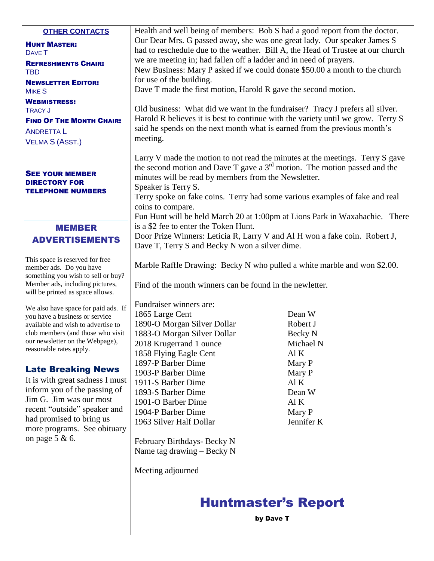|                                                                                                  | <b>Huntmaster's Report</b>                                                                                                                                        |                      |
|--------------------------------------------------------------------------------------------------|-------------------------------------------------------------------------------------------------------------------------------------------------------------------|----------------------|
|                                                                                                  | Meeting adjourned                                                                                                                                                 |                      |
| more programs. See obituary<br>on page $5 & 6$ .                                                 | February Birthdays- Becky N<br>Name tag drawing $-$ Becky N                                                                                                       |                      |
| recent "outside" speaker and<br>had promised to bring us                                         | 1904-P Barber Dime<br>1963 Silver Half Dollar                                                                                                                     | Mary P<br>Jennifer K |
| Jim G. Jim was our most                                                                          | 1893-S Barber Dime<br>1901-O Barber Dime                                                                                                                          | Dean W<br>Al K       |
| It is with great sadness I must<br>inform you of the passing of                                  | 1911-S Barber Dime                                                                                                                                                | AI K                 |
| <b>Late Breaking News</b>                                                                        | 1903-P Barber Dime                                                                                                                                                | Mary P               |
|                                                                                                  | 1897-P Barber Dime                                                                                                                                                | Mary P               |
| reasonable rates apply.                                                                          | 1858 Flying Eagle Cent                                                                                                                                            | Al K                 |
| our newsletter on the Webpage),                                                                  | 1883-O Morgan Silver Dollar<br>2018 Krugerrand 1 ounce                                                                                                            | Becky N<br>Michael N |
| available and wish to advertise to<br>club members (and those who visit                          | 1890-O Morgan Silver Dollar                                                                                                                                       | Robert J             |
| you have a business or service                                                                   | 1865 Large Cent                                                                                                                                                   | Dean W               |
| We also have space for paid ads. If                                                              | Fundraiser winners are:                                                                                                                                           |                      |
| Member ads, including pictures,<br>will be printed as space allows.                              | Find of the month winners can be found in the newletter.                                                                                                          |                      |
| This space is reserved for free<br>member ads. Do you have<br>something you wish to sell or buy? | Marble Raffle Drawing: Becky N who pulled a white marble and won \$2.00.                                                                                          |                      |
| <b>ADVERTISEMENTS</b>                                                                            | Dave T, Terry S and Becky N won a silver dime.                                                                                                                    |                      |
| <b>MEMBER</b>                                                                                    | is a \$2 fee to enter the Token Hunt.<br>Door Prize Winners: Leticia R, Larry V and Al H won a fake coin. Robert J,                                               |                      |
|                                                                                                  | Fun Hunt will be held March 20 at 1:00pm at Lions Park in Waxahachie. There                                                                                       |                      |
|                                                                                                  | Terry spoke on fake coins. Terry had some various examples of fake and real<br>coins to compare.                                                                  |                      |
| <b>TELEPHONE NUMBERS</b>                                                                         | Speaker is Terry S.                                                                                                                                               |                      |
| <b>SEE YOUR MEMBER</b><br><b>DIRECTORY FOR</b>                                                   | minutes will be read by members from the Newsletter.                                                                                                              |                      |
|                                                                                                  | Larry V made the motion to not read the minutes at the meetings. Terry S gave<br>the second motion and Dave T gave a $3rd$ motion. The motion passed and the      |                      |
| <b>VELMA S (ASST.)</b>                                                                           |                                                                                                                                                                   |                      |
| <b>ANDRETTAL</b>                                                                                 | meeting.                                                                                                                                                          |                      |
| <b>FIND OF THE MONTH CHAIR:</b>                                                                  | said he spends on the next month what is earned from the previous month's                                                                                         |                      |
| <b>TRACY J</b>                                                                                   | Old business: What did we want in the fundraiser? Tracy J prefers all silver.<br>Harold R believes it is best to continue with the variety until we grow. Terry S |                      |
| <b>WEBMISTRESS:</b>                                                                              |                                                                                                                                                                   |                      |
| <b>MIKE S</b>                                                                                    | Dave T made the first motion, Harold R gave the second motion.                                                                                                    |                      |
| <b>TBD</b><br><b>NEWSLETTER EDITOR:</b>                                                          | for use of the building.                                                                                                                                          |                      |
| <b>REFRESHMENTS CHAIR:</b>                                                                       | we are meeting in; had fallen off a ladder and in need of prayers.<br>New Business: Mary P asked if we could donate \$50.00 a month to the church                 |                      |
| <b>DAVE T</b>                                                                                    | had to reschedule due to the weather. Bill A, the Head of Trustee at our church                                                                                   |                      |
| <b>HUNT MASTER:</b>                                                                              | Our Dear Mrs. G passed away, she was one great lady. Our speaker James S                                                                                          |                      |
| <b>OTHER CONTACTS</b>                                                                            | Health and well being of members: Bob S had a good report from the doctor.                                                                                        |                      |

by Dave T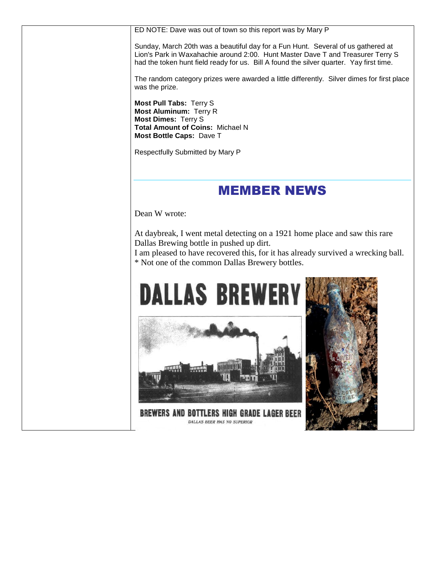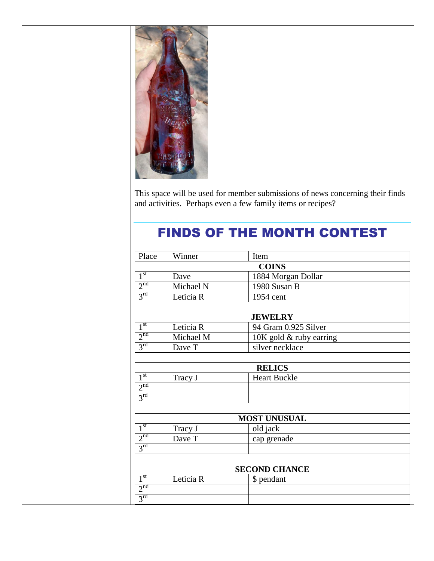

This space will be used for member submissions of news concerning their finds and activities. Perhaps even a few family items or recipes?

### FINDS OF THE MONTH CONTEST

| Place                | Winner    | Item                    |  |  |
|----------------------|-----------|-------------------------|--|--|
| <b>COINS</b>         |           |                         |  |  |
| 1 <sup>st</sup>      | Dave      | 1884 Morgan Dollar      |  |  |
| 2 <sup>nd</sup>      | Michael N | 1980 Susan B            |  |  |
| 3 <sup>rd</sup>      | Leticia R | 1954 cent               |  |  |
|                      |           |                         |  |  |
| <b>JEWELRY</b>       |           |                         |  |  |
| $1^{\rm st}$         | Leticia R | 94 Gram 0.925 Silver    |  |  |
| 2 <sup>nd</sup>      | Michael M | 10K gold & ruby earring |  |  |
| $3^{\text{rd}}$      | Dave T    | silver necklace         |  |  |
|                      |           |                         |  |  |
| <b>RELICS</b>        |           |                         |  |  |
| 1 <sup>st</sup>      | Tracy J   | <b>Heart Buckle</b>     |  |  |
| 2 <sup>nd</sup>      |           |                         |  |  |
| $3^{\text{rd}}$      |           |                         |  |  |
|                      |           |                         |  |  |
| <b>MOST UNUSUAL</b>  |           |                         |  |  |
| 1 <sup>st</sup>      | Tracy J   | old jack                |  |  |
| 2 <sup>nd</sup>      | Dave T    | cap grenade             |  |  |
| $3^{\text{rd}}$      |           |                         |  |  |
|                      |           |                         |  |  |
| <b>SECOND CHANCE</b> |           |                         |  |  |
| 1 <sup>st</sup>      | Leticia R | \$ pendant              |  |  |
| 2 <sup>nd</sup>      |           |                         |  |  |
| 3 <sup>rd</sup>      |           |                         |  |  |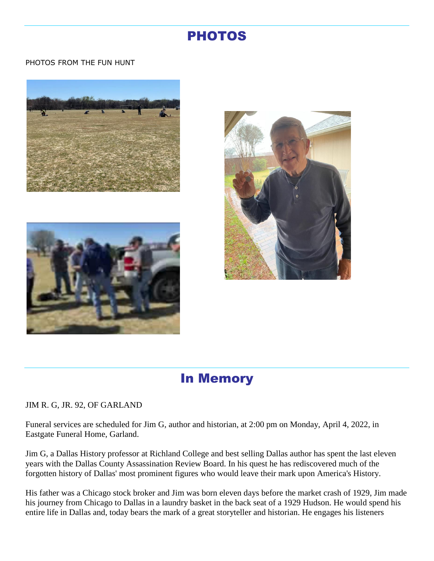#### PHOTOS

#### PHOTOS FROM THE FUN HUNT







#### In Memory

#### JIM R. G, JR. 92, OF GARLAND

Funeral services are scheduled for Jim G, author and historian, at 2:00 pm on Monday, April 4, 2022, in Eastgate Funeral Home, Garland.

Jim G, a Dallas History professor at Richland College and best selling Dallas author has spent the last eleven years with the Dallas County Assassination Review Board. In his quest he has rediscovered much of the forgotten history of Dallas' most prominent figures who would leave their mark upon America's History.

His father was a Chicago stock broker and Jim was born eleven days before the market crash of 1929, Jim made his journey from Chicago to Dallas in a laundry basket in the back seat of a 1929 Hudson. He would spend his entire life in Dallas and, today bears the mark of a great storyteller and historian. He engages his listeners